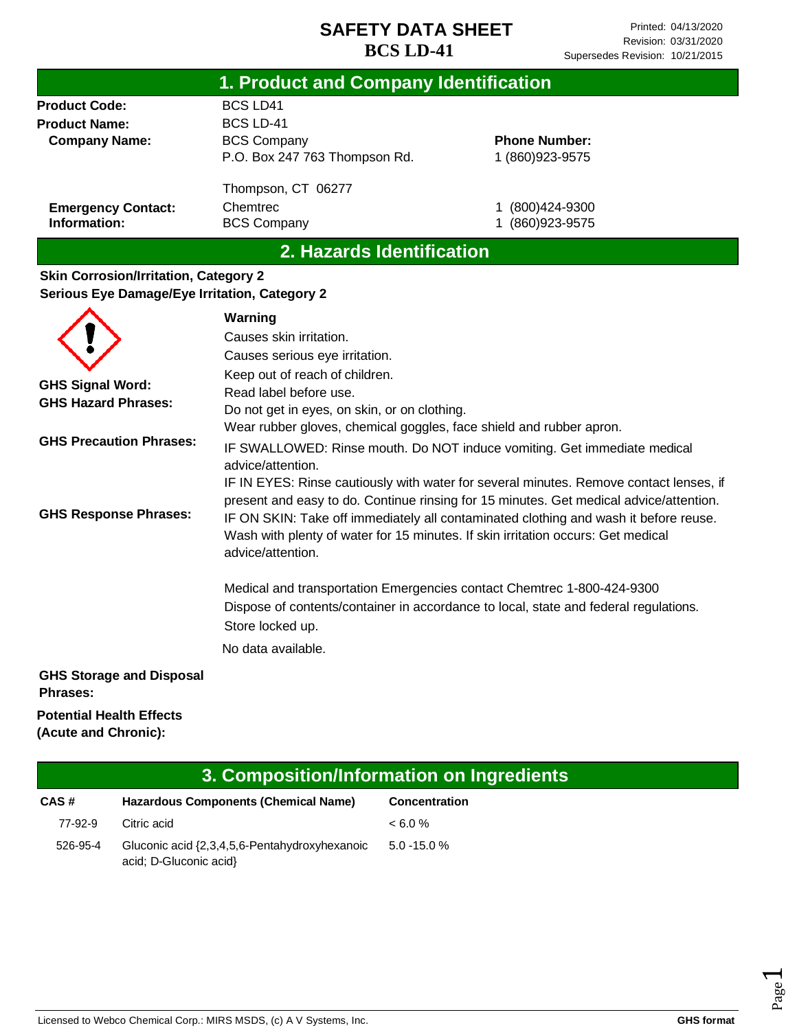| 1. Product and Company Identification                                                               |                               |                      |  |  |  |
|-----------------------------------------------------------------------------------------------------|-------------------------------|----------------------|--|--|--|
| <b>Product Code:</b>                                                                                | <b>BCS LD41</b>               |                      |  |  |  |
| <b>Product Name:</b>                                                                                | <b>BCS LD-41</b>              |                      |  |  |  |
| <b>Company Name:</b>                                                                                | <b>BCS Company</b>            | <b>Phone Number:</b> |  |  |  |
|                                                                                                     | P.O. Box 247 763 Thompson Rd. | 1 (860) 923-9575     |  |  |  |
|                                                                                                     | Thompson, CT 06277            |                      |  |  |  |
| <b>Emergency Contact:</b>                                                                           | Chemtrec                      | (800)424-9300        |  |  |  |
| Information:                                                                                        | <b>BCS Company</b>            | (860) 923-9575       |  |  |  |
| 2. Hazards Identification                                                                           |                               |                      |  |  |  |
| <b>Skin Corrosion/Irritation, Category 2</b><br><b>Carious Eva Damaga/Eva Irritation Catagary 2</b> |                               |                      |  |  |  |

# **Serious Eye Damage/Eye Irritation, Category 2**

|                                                       | Warning                                                                                                                                                                                                                                                                                                                                                                           |
|-------------------------------------------------------|-----------------------------------------------------------------------------------------------------------------------------------------------------------------------------------------------------------------------------------------------------------------------------------------------------------------------------------------------------------------------------------|
|                                                       | Causes skin irritation.                                                                                                                                                                                                                                                                                                                                                           |
|                                                       | Causes serious eye irritation.                                                                                                                                                                                                                                                                                                                                                    |
| <b>GHS Signal Word:</b><br><b>GHS Hazard Phrases:</b> | Keep out of reach of children.<br>Read label before use.<br>Do not get in eyes, on skin, or on clothing.<br>Wear rubber gloves, chemical goggles, face shield and rubber apron.                                                                                                                                                                                                   |
| <b>GHS Precaution Phrases:</b>                        | IF SWALLOWED: Rinse mouth. Do NOT induce vomiting. Get immediate medical<br>advice/attention.                                                                                                                                                                                                                                                                                     |
| <b>GHS Response Phrases:</b>                          | IF IN EYES: Rinse cautiously with water for several minutes. Remove contact lenses, if<br>present and easy to do. Continue rinsing for 15 minutes. Get medical advice/attention.<br>IF ON SKIN: Take off immediately all contaminated clothing and wash it before reuse.<br>Wash with plenty of water for 15 minutes. If skin irritation occurs: Get medical<br>advice/attention. |
|                                                       | Medical and transportation Emergencies contact Chemtrec 1-800-424-9300<br>Dispose of contents/container in accordance to local, state and federal regulations.<br>Store locked up.                                                                                                                                                                                                |
|                                                       | No data available.                                                                                                                                                                                                                                                                                                                                                                |
| <b>GHS Storage and Disposal</b><br><b>Phrases:</b>    |                                                                                                                                                                                                                                                                                                                                                                                   |
| <b>Potential Health Effects</b>                       |                                                                                                                                                                                                                                                                                                                                                                                   |

**(Acute and Chronic):**

| 3. Composition/Information on Ingredients |                                                                         |                      |  |  |
|-------------------------------------------|-------------------------------------------------------------------------|----------------------|--|--|
| CAS#                                      | <b>Hazardous Components (Chemical Name)</b>                             | <b>Concentration</b> |  |  |
| 77-92-9                                   | Citric acid                                                             | $< 6.0\%$            |  |  |
| 526-95-4                                  | Gluconic acid {2,3,4,5,6-Pentahydroxyhexanoic<br>acid; D-Gluconic acid} | $5.0 - 15.0 %$       |  |  |

Page  $\overline{\phantom{0}}$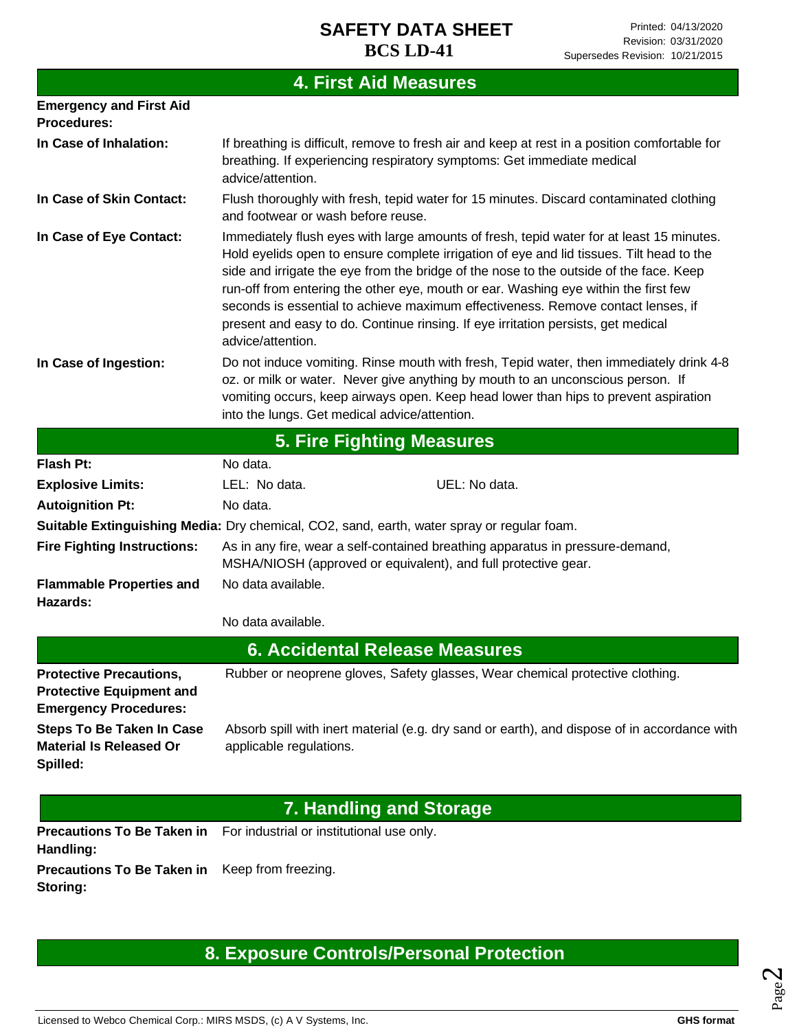## **4. First Aid Measures**

| <b>Emergency and First Aid</b><br><b>Procedures:</b>                                              |                                                                                                                                                 |                                                                                                                                                                                                                                                                                                                                                                                                                                                                                                                                                |  |
|---------------------------------------------------------------------------------------------------|-------------------------------------------------------------------------------------------------------------------------------------------------|------------------------------------------------------------------------------------------------------------------------------------------------------------------------------------------------------------------------------------------------------------------------------------------------------------------------------------------------------------------------------------------------------------------------------------------------------------------------------------------------------------------------------------------------|--|
| In Case of Inhalation:                                                                            | advice/attention.                                                                                                                               | If breathing is difficult, remove to fresh air and keep at rest in a position comfortable for<br>breathing. If experiencing respiratory symptoms: Get immediate medical                                                                                                                                                                                                                                                                                                                                                                        |  |
| In Case of Skin Contact:                                                                          | Flush thoroughly with fresh, tepid water for 15 minutes. Discard contaminated clothing<br>and footwear or wash before reuse.                    |                                                                                                                                                                                                                                                                                                                                                                                                                                                                                                                                                |  |
| In Case of Eye Contact:                                                                           | advice/attention.                                                                                                                               | Immediately flush eyes with large amounts of fresh, tepid water for at least 15 minutes.<br>Hold eyelids open to ensure complete irrigation of eye and lid tissues. Tilt head to the<br>side and irrigate the eye from the bridge of the nose to the outside of the face. Keep<br>run-off from entering the other eye, mouth or ear. Washing eye within the first few<br>seconds is essential to achieve maximum effectiveness. Remove contact lenses, if<br>present and easy to do. Continue rinsing. If eye irritation persists, get medical |  |
| In Case of Ingestion:                                                                             | into the lungs. Get medical advice/attention.                                                                                                   | Do not induce vomiting. Rinse mouth with fresh, Tepid water, then immediately drink 4-8<br>oz. or milk or water. Never give anything by mouth to an unconscious person. If<br>vomiting occurs, keep airways open. Keep head lower than hips to prevent aspiration                                                                                                                                                                                                                                                                              |  |
|                                                                                                   |                                                                                                                                                 | <b>5. Fire Fighting Measures</b>                                                                                                                                                                                                                                                                                                                                                                                                                                                                                                               |  |
| <b>Flash Pt:</b>                                                                                  | No data.                                                                                                                                        |                                                                                                                                                                                                                                                                                                                                                                                                                                                                                                                                                |  |
| <b>Explosive Limits:</b>                                                                          | LEL: No data.                                                                                                                                   | UEL: No data.                                                                                                                                                                                                                                                                                                                                                                                                                                                                                                                                  |  |
| <b>Autoignition Pt:</b>                                                                           | No data.                                                                                                                                        |                                                                                                                                                                                                                                                                                                                                                                                                                                                                                                                                                |  |
|                                                                                                   |                                                                                                                                                 | Suitable Extinguishing Media: Dry chemical, CO2, sand, earth, water spray or regular foam.                                                                                                                                                                                                                                                                                                                                                                                                                                                     |  |
| <b>Fire Fighting Instructions:</b>                                                                | As in any fire, wear a self-contained breathing apparatus in pressure-demand,<br>MSHA/NIOSH (approved or equivalent), and full protective gear. |                                                                                                                                                                                                                                                                                                                                                                                                                                                                                                                                                |  |
| <b>Flammable Properties and</b><br>Hazards:                                                       | No data available.                                                                                                                              |                                                                                                                                                                                                                                                                                                                                                                                                                                                                                                                                                |  |
|                                                                                                   | No data available.                                                                                                                              |                                                                                                                                                                                                                                                                                                                                                                                                                                                                                                                                                |  |
|                                                                                                   |                                                                                                                                                 | <b>6. Accidental Release Measures</b>                                                                                                                                                                                                                                                                                                                                                                                                                                                                                                          |  |
| <b>Protective Precautions,</b><br><b>Protective Equipment and</b><br><b>Emergency Procedures:</b> |                                                                                                                                                 | Rubber or neoprene gloves, Safety glasses, Wear chemical protective clothing.                                                                                                                                                                                                                                                                                                                                                                                                                                                                  |  |
| <b>Steps To Be Taken In Case</b><br><b>Material Is Released Or</b><br>Spilled:                    | applicable regulations.                                                                                                                         | Absorb spill with inert material (e.g. dry sand or earth), and dispose of in accordance with                                                                                                                                                                                                                                                                                                                                                                                                                                                   |  |
|                                                                                                   |                                                                                                                                                 | <b>7. Handling and Storage</b>                                                                                                                                                                                                                                                                                                                                                                                                                                                                                                                 |  |
| <b>Precautions To Be Taken in</b> For industrial or institutional use only.<br>Handling:          |                                                                                                                                                 |                                                                                                                                                                                                                                                                                                                                                                                                                                                                                                                                                |  |

**Precautions To Be Taken in**  Keep from freezing. **Storing:**

## **8. Exposure Controls/Personal Protection**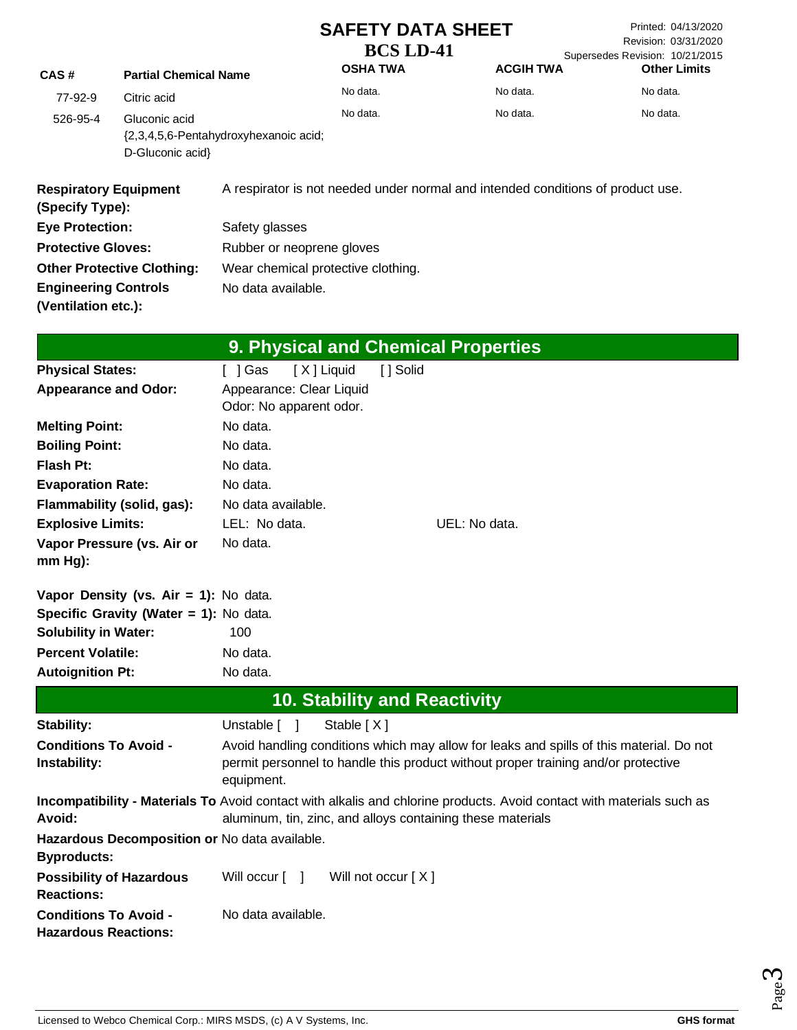Printed: 04/13/2020 Revision: 03/31/2020 Supersedes Revision: 10/21/2015 **Other Limits**

| <sup>o</sup> artial Chemical Name | <b>OSHA T</b> |
|-----------------------------------|---------------|
|                                   | No data.      |

| CAS#                                            | <b>Partial Chemical Name</b>                              |                    | <b>OSHA TWA</b>                            |          |               | <b>ACGIH TWA</b> | <b>Other Limits</b>                                                             |  |
|-------------------------------------------------|-----------------------------------------------------------|--------------------|--------------------------------------------|----------|---------------|------------------|---------------------------------------------------------------------------------|--|
| 77-92-9                                         | Citric acid                                               |                    | No data.                                   |          |               | No data.         | No data.                                                                        |  |
| 526-95-4                                        | Gluconic acid                                             |                    | No data.                                   |          |               | No data.         | No data.                                                                        |  |
|                                                 | {2,3,4,5,6-Pentahydroxyhexanoic acid;<br>D-Gluconic acid} |                    |                                            |          |               |                  |                                                                                 |  |
| <b>Respiratory Equipment</b><br>(Specify Type): |                                                           |                    |                                            |          |               |                  | A respirator is not needed under normal and intended conditions of product use. |  |
| <b>Eye Protection:</b>                          |                                                           | Safety glasses     |                                            |          |               |                  |                                                                                 |  |
| <b>Protective Gloves:</b>                       |                                                           |                    | Rubber or neoprene gloves                  |          |               |                  |                                                                                 |  |
|                                                 | <b>Other Protective Clothing:</b>                         |                    | Wear chemical protective clothing.         |          |               |                  |                                                                                 |  |
| <b>Engineering Controls</b>                     |                                                           | No data available. |                                            |          |               |                  |                                                                                 |  |
| (Ventilation etc.):                             |                                                           |                    |                                            |          |               |                  |                                                                                 |  |
|                                                 |                                                           |                    |                                            |          |               |                  |                                                                                 |  |
|                                                 |                                                           |                    | <b>9. Physical and Chemical Properties</b> |          |               |                  |                                                                                 |  |
| <b>Physical States:</b>                         |                                                           | []Gas              | [X] Liquid                                 | [] Solid |               |                  |                                                                                 |  |
| <b>Appearance and Odor:</b>                     |                                                           |                    | Appearance: Clear Liquid                   |          |               |                  |                                                                                 |  |
|                                                 |                                                           |                    | Odor: No apparent odor.                    |          |               |                  |                                                                                 |  |
| <b>Melting Point:</b>                           |                                                           | No data.           |                                            |          |               |                  |                                                                                 |  |
| <b>Boiling Point:</b>                           |                                                           | No data.           |                                            |          |               |                  |                                                                                 |  |
| Flash Pt:                                       |                                                           | No data.           |                                            |          |               |                  |                                                                                 |  |
| <b>Evaporation Rate:</b>                        |                                                           | No data.           |                                            |          |               |                  |                                                                                 |  |
|                                                 | Flammability (solid, gas):                                | No data available. |                                            |          |               |                  |                                                                                 |  |
| <b>Explosive Limits:</b>                        |                                                           | LEL: No data.      |                                            |          | UEL: No data. |                  |                                                                                 |  |
| mm Hg):                                         | Vapor Pressure (vs. Air or                                | No data.           |                                            |          |               |                  |                                                                                 |  |
|                                                 | Vapor Density (vs. Air = 1): No data.                     |                    |                                            |          |               |                  |                                                                                 |  |
|                                                 | Specific Gravity (Water = 1): No data.                    |                    |                                            |          |               |                  |                                                                                 |  |
| <b>Solubility in Water:</b>                     |                                                           | 100                |                                            |          |               |                  |                                                                                 |  |
| <b>Percent Volatile:</b>                        |                                                           | No data.           |                                            |          |               |                  |                                                                                 |  |
| <b>Autoignition Pt:</b>                         |                                                           | No data.           |                                            |          |               |                  |                                                                                 |  |
|                                                 |                                                           |                    | <b>10. Stability and Reactivity</b>        |          |               |                  |                                                                                 |  |
| Stability:                                      |                                                           | Unstable [         | Stable [X]                                 |          |               |                  |                                                                                 |  |
|                                                 |                                                           |                    |                                            |          |               |                  |                                                                                 |  |

| <b>Conditions To Avoid -</b><br>Instability:                        | Avoid handling conditions which may allow for leaks and spills of this material. Do not<br>permit personnel to handle this product without proper training and/or protective<br>equipment. |
|---------------------------------------------------------------------|--------------------------------------------------------------------------------------------------------------------------------------------------------------------------------------------|
| Avoid:                                                              | <b>Incompatibility - Materials To</b> Avoid contact with alkalis and chlorine products. Avoid contact with materials such as<br>aluminum, tin, zinc, and alloys containing these materials |
| Hazardous Decomposition or No data available.<br><b>Byproducts:</b> |                                                                                                                                                                                            |
| <b>Possibility of Hazardous</b><br><b>Reactions:</b>                | Will occur [ ]<br>Will not occur $[X]$                                                                                                                                                     |
| <b>Conditions To Avoid -</b><br><b>Hazardous Reactions:</b>         | No data available.                                                                                                                                                                         |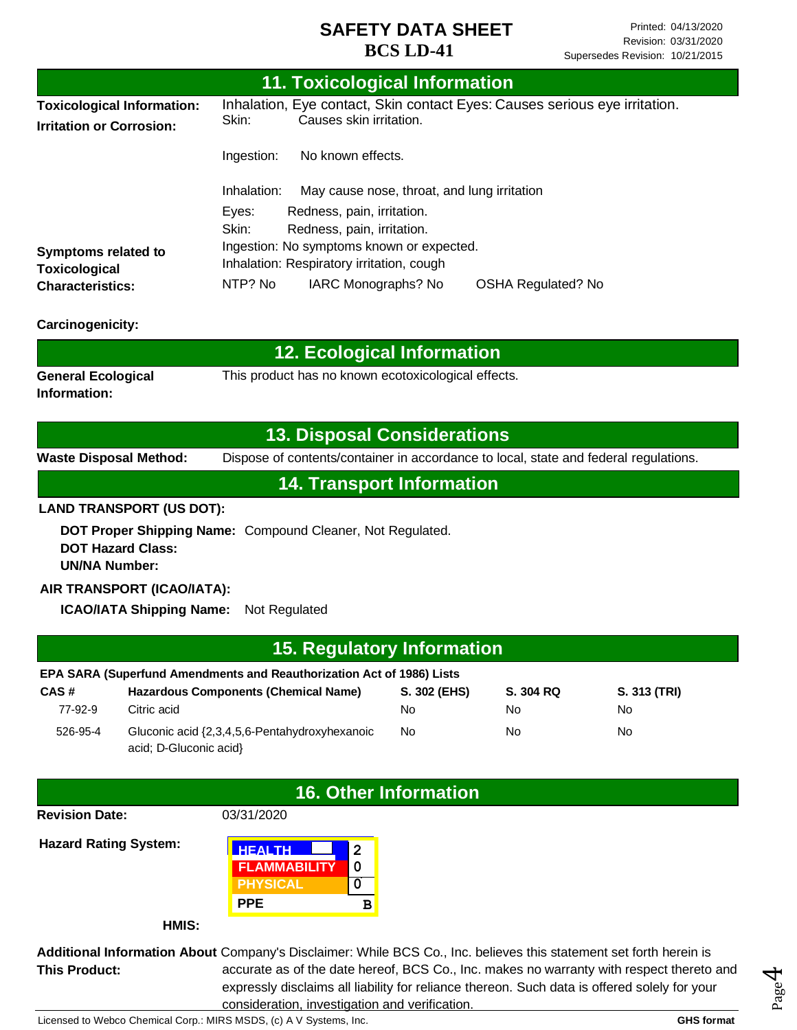| 11. Toxicological Information                                        |                                                                                                                |  |  |  |
|----------------------------------------------------------------------|----------------------------------------------------------------------------------------------------------------|--|--|--|
| <b>Toxicological Information:</b><br><b>Irritation or Corrosion:</b> | Inhalation, Eye contact, Skin contact Eyes: Causes serious eye irritation.<br>Causes skin irritation.<br>Skin: |  |  |  |
|                                                                      | No known effects.<br>Ingestion:                                                                                |  |  |  |
|                                                                      | May cause nose, throat, and lung irritation<br>Inhalation:                                                     |  |  |  |
|                                                                      | Eyes:<br>Redness, pain, irritation.                                                                            |  |  |  |
|                                                                      | Skin:<br>Redness, pain, irritation.                                                                            |  |  |  |
| Symptoms related to                                                  | Ingestion: No symptoms known or expected.                                                                      |  |  |  |
| <b>Toxicological</b>                                                 | Inhalation: Respiratory irritation, cough                                                                      |  |  |  |
| <b>Characteristics:</b>                                              | NTP? No<br>IARC Monographs? No<br>OSHA Regulated? No                                                           |  |  |  |
| <b>Carcinogenicity:</b>                                              |                                                                                                                |  |  |  |

| $\,$ 12. Ecological Information $^{\circ}$ |                                                     |  |  |
|--------------------------------------------|-----------------------------------------------------|--|--|
| <b>General Ecological</b>                  | This product has no known ecotoxicological effects. |  |  |
| Information:                               |                                                     |  |  |

#### **13. Disposal Considerations**

**Waste Disposal Method:** Dispose of contents/container in accordance to local, state and federal regulations.

### **14. Transport Information**

#### **LAND TRANSPORT (US DOT):**

**DOT Proper Shipping Name:**  Compound Cleaner, Not Regulated. **DOT Hazard Class: UN/NA Number:**

#### **AIR TRANSPORT (ICAO/IATA):**

**ICAO/IATA Shipping Name:** Not Regulated

| 15. Regulatory Information                                            |                                                                         |              |           |              |  |
|-----------------------------------------------------------------------|-------------------------------------------------------------------------|--------------|-----------|--------------|--|
| EPA SARA (Superfund Amendments and Reauthorization Act of 1986) Lists |                                                                         |              |           |              |  |
| CAS#                                                                  | <b>Hazardous Components (Chemical Name)</b>                             | S. 302 (EHS) | S. 304 RQ | S. 313 (TRI) |  |
| 77-92-9                                                               | Citric acid                                                             | No.          | No        | No           |  |
| 526-95-4                                                              | Gluconic acid {2,3,4,5,6-Pentahydroxyhexanoic<br>acid; D-Gluconic acid} | No           | No        | No           |  |

#### **16. Other Information**

**Revision Date:**

03/31/2020

**Hazard Rating System:**



**HMIS:**

**Additional Information About** Company's Disclaimer: While BCS Co., Inc. believes this statement set forth herein is **This Product:** accurate as of the date hereof, BCS Co., Inc. makes no warranty with respect thereto and expressly disclaims all liability for reliance thereon. Such data is offered solely for your consideration, investigation and verification.

Licensed to Webco Chemical Corp.: MIRS MSDS, (c) A V Systems, Inc. **GHS** format **GHS** format

Page 4